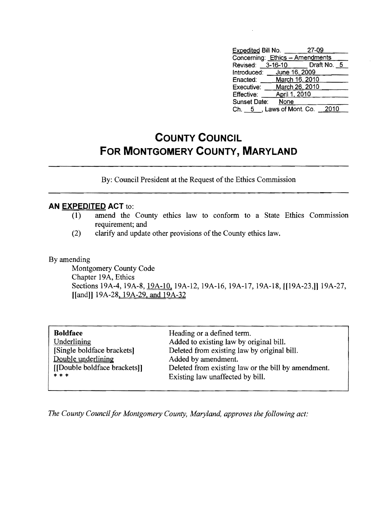| <b>Expedited Bill No.</b>       |                | -27-09                       |  |
|---------------------------------|----------------|------------------------------|--|
| Concerning: Ethics - Amendments |                |                              |  |
|                                 |                | Revised: 3-16-10 Draft No. 5 |  |
| Introduced: __ June 16, 2009    |                |                              |  |
| Enacted:                        | March 16, 2010 |                              |  |
| Executive:                      | March 26, 2010 |                              |  |
| Effective:                      | April 1, 2010  |                              |  |
| Sunset Date:                    | None           |                              |  |
| Ch. 5, Laws of Mont. Co.        |                | 2010                         |  |

## **COUNTY COUNCIL FOR MONTGOMERY COUNTY, MARYLAND**

By: Council President at the Request of the Ethics Commission

## **AN EXPEDITED ACT** to:

- (1) amend the County ethics law to conform to a State Ethics Commission requirement; and
- (2) clarify and update other provisions of the County ethics law.

## By amending

Montgomery County Code Chapter 19A, Ethics Sections 19A-4, 19A-8, 19A-10, 19A-12, 19A-16, 19A-17, 19A-18, [[19A-23,]] 19A-27, [[and]] 19A-28, 19A-29, and 19A-32

| <b>Boldface</b>             | Heading or a defined term.                          |
|-----------------------------|-----------------------------------------------------|
| Underlining                 | Added to existing law by original bill.             |
| [Single boldface brackets]  | Deleted from existing law by original bill.         |
| Double underlining          | Added by amendment.                                 |
| [Double boldface brackets]] | Deleted from existing law or the bill by amendment. |
| $* * *$                     | Existing law unaffected by bill.                    |

*The County Council for Montgomery County, Maryland, approves the following act:*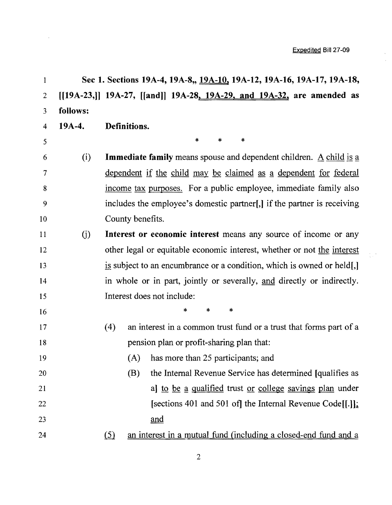$\frac{1}{2}$ 

 $\frac{1}{3} \frac{1}{2} \frac{1}{2}$ 

| $\mathbf{1}$            |          | Sec 1. Sections 19A-4, 19A-8,, 19A-10, 19A-12, 19A-16, 19A-17, 19A-18,                  |
|-------------------------|----------|-----------------------------------------------------------------------------------------|
| $\overline{2}$          |          | $[19A-23,]$ 19A-27, [[and]] 19A-28, 19A-29, and 19A-32, are amended as                  |
| $\overline{\mathbf{3}}$ | follows: |                                                                                         |
| $\overline{\mathbf{4}}$ | 19A-4.   | Definitions.                                                                            |
| 5                       |          | $\ast$<br>*<br>4                                                                        |
| 6                       | (i)      | <b>Immediate family</b> means spouse and dependent children. $\underline{A}$ child is a |
| $\tau$                  |          | <u>dependent if the child may be claimed as a dependent for federal</u>                 |
| 8                       |          | income tax purposes. For a public employee, immediate family also                       |
| 9                       |          | includes the employee's domestic partner[,] if the partner is receiving                 |
| 10                      |          | County benefits.                                                                        |
| 11                      | (j)      | Interest or economic interest means any source of income or any                         |
| 12                      |          | other legal or equitable economic interest, whether or not the interest                 |
| 13                      |          | is subject to an encumbrance or a condition, which is owned or held[,]                  |
| 14                      |          | in whole or in part, jointly or severally, and directly or indirectly.                  |
| 15                      |          | Interest does not include:                                                              |
| 16                      |          | $\ast$<br>∗<br>*                                                                        |
| 17                      |          | an interest in a common trust fund or a trust that forms part of a<br>(4)               |
| 18                      |          | pension plan or profit-sharing plan that:                                               |
| 19                      |          | has more than 25 participants; and<br>(A)                                               |
| 20                      |          | the Internal Revenue Service has determined [qualifies as<br>(B)                        |
| 21                      |          | al to be a qualified trust or college savings plan under                                |
| 22                      |          | [sections 401 and 501 of] the Internal Revenue Code[[.]].                               |
| 23                      |          | and                                                                                     |
| 24                      |          | an interest in a mutual fund (including a closed-end fund and a<br>(5)                  |

 $\sim 10^7$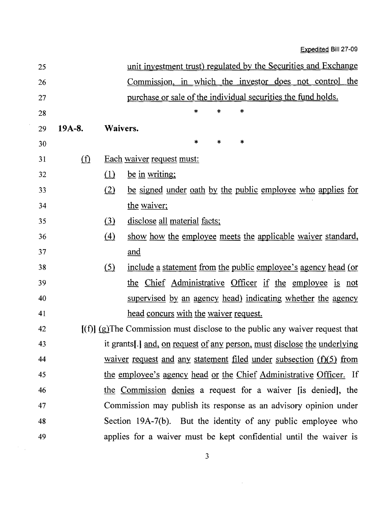| 25 |          |          | unit investment trust) regulated by the Securities and Exchange                |
|----|----------|----------|--------------------------------------------------------------------------------|
| 26 |          |          | Commission, in which the investor does not control the                         |
| 27 |          |          | purchase or sale of the individual securities the fund holds.                  |
| 28 |          |          | *<br>$\ast$<br>*                                                               |
| 29 | $19A-8.$ | Waivers. |                                                                                |
| 30 |          |          | $\star$<br>*<br>∗                                                              |
| 31 | $\Omega$ |          | Each waiver request must:                                                      |
| 32 |          | $\Omega$ | be in writing;                                                                 |
| 33 |          | (2)      | be signed under oath by the public employee who applies for                    |
| 34 |          |          | the waiver;                                                                    |
| 35 |          | (3)      | disclose all material facts;                                                   |
| 36 |          | (4)      | show how the employee meets the applicable waiver standard,                    |
| 37 |          |          | and                                                                            |
| 38 |          | (5)      | include a statement from the public employee's agency head (or                 |
| 39 |          |          | the Chief Administrative Officer if the employee is not                        |
| 40 |          |          | supervised by an agency head) indicating whether the agency                    |
| 41 |          |          | head concurs with the waiver request.                                          |
| 42 |          |          | $[(f)]$ (g) The Commission must disclose to the public any waiver request that |
| 43 |          |          | it grants[.] and, on request of any person, must disclose the underlying       |
| 44 |          |          | waiver request and any statement filed under subsection $(f)(5)$ from          |
| 45 |          |          | the employee's agency head or the Chief Administrative Officer. If             |
| 46 |          |          | the Commission denies a request for a waiver [is denied], the                  |
| 47 |          |          | Commission may publish its response as an advisory opinion under               |
| 48 |          |          | Section 19A-7(b). But the identity of any public employee who                  |
| 49 |          |          | applies for a waiver must be kept confidential until the waiver is             |

 $\sim 10^{11}$  km  $^{-1}$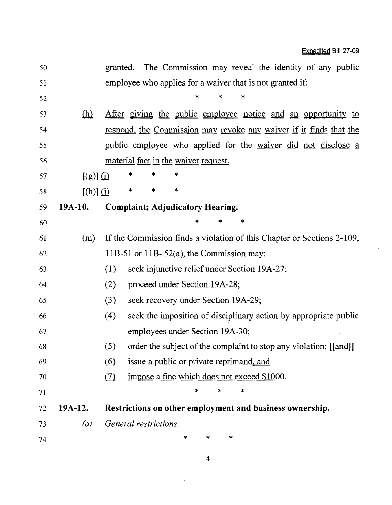$\epsilon$ 

| 50 |               | The Commission may reveal the identity of any public<br>granted.         |
|----|---------------|--------------------------------------------------------------------------|
| 51 |               | employee who applies for a waiver that is not granted if:                |
| 52 |               | *                                                                        |
| 53 | <u>(h)</u>    | After giving the public employee notice and an opportunity to            |
| 54 |               | respond, the Commission may revoke any waiver if it finds that the       |
| 55 |               | <u>public employee who applied for the waiver did not disclose a</u>     |
| 56 |               | material fact in the waiver request.                                     |
| 57 | $[(g)]$ $(i)$ | *<br>*<br>*                                                              |
| 58 | $[(h)]$ $(i)$ | *<br>*<br>*                                                              |
| 59 | 19A-10.       | <b>Complaint; Adjudicatory Hearing.</b>                                  |
| 60 |               | *                                                                        |
| 61 | (m)           | If the Commission finds a violation of this Chapter or Sections 2-109,   |
| 62 |               | 11B-51 or 11B-52(a), the Commission may:                                 |
| 63 |               | (1)<br>seek injunctive relief under Section 19A-27;                      |
| 64 |               | (2)<br>proceed under Section 19A-28;                                     |
| 65 |               | (3)<br>seek recovery under Section 19A-29;                               |
| 66 |               | (4)<br>seek the imposition of disciplinary action by appropriate public  |
| 67 |               | employees under Section 19A-30;                                          |
| 68 |               | order the subject of the complaint to stop any violation; [[and]]<br>(5) |
| 69 |               | (6)<br>issue a public or private reprimand, and                          |
| 70 |               | impose a fine which does not exceed \$1000.<br>(7)                       |
| 71 |               | *<br>*                                                                   |
| 72 | $19A-12.$     | Restrictions on other employment and business ownership.                 |
| 73 | (a)           | General restrictions.                                                    |
| 74 |               | $\ast$<br>*<br>*                                                         |
|    |               |                                                                          |

4

 $\ddot{\phantom{a}}$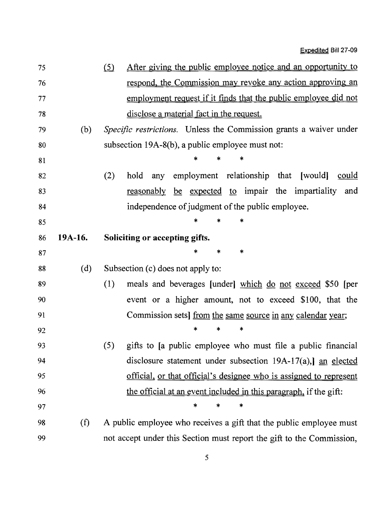| 75 |         | After giving the public employee notice and an opportunity to<br>(5)      |
|----|---------|---------------------------------------------------------------------------|
| 76 |         | respond, the Commission may revoke any action approving an                |
| 77 |         | employment request if it finds that the public employee did not           |
| 78 |         | disclose a material fact in the request.                                  |
| 79 | (b)     | <i>Specific restrictions.</i> Unless the Commission grants a waiver under |
| 80 |         | subsection 19A-8(b), a public employee must not:                          |
| 81 |         |                                                                           |
| 82 |         | (2)<br>any employment relationship that [would]<br>hold<br>could          |
| 83 |         | reasonably be expected to impair the impartiality and                     |
| 84 |         | independence of judgment of the public employee.                          |
| 85 |         |                                                                           |
| 86 | 19A-16. | Soliciting or accepting gifts.                                            |
| 87 |         | *                                                                         |
| 88 | (d)     | Subsection (c) does not apply to:                                         |
| 89 |         | (1)<br>meals and beverages [under] which do not exceed \$50 [per          |
| 90 |         | event or a higher amount, not to exceed \$100, that the                   |
| 91 |         | Commission sets] <u>from the same source in any calendar year</u> ;       |
| 92 |         | *                                                                         |
| 93 |         | (5) gifts to [a public employee who must file a public financial          |
| 94 |         | disclosure statement under subsection $19A-17(a)$ , an elected            |
| 95 |         | official, or that official's designee who is assigned to represent        |
| 96 |         | the official at an event included in this paragraph, if the gift:         |
| 97 |         | ∗<br>*<br>$\ast$                                                          |
| 98 | (f)     | A public employee who receives a gift that the public employee must       |
| 99 |         | not accept under this Section must report the gift to the Commission,     |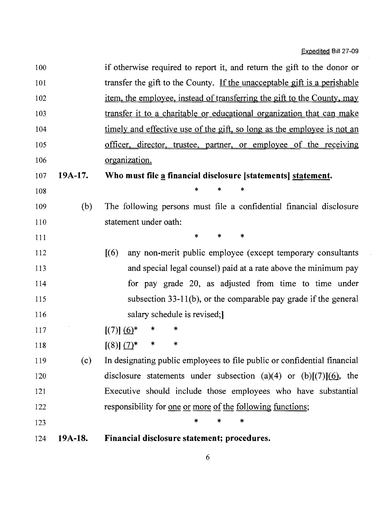$\bar{z}$ 

 $\bar{\bar{z}}$ 

| 100 |         | if otherwise required to report it, and return the gift to the donor or   |
|-----|---------|---------------------------------------------------------------------------|
| 101 |         | transfer the gift to the County. If the unacceptable gift is a perishable |
| 102 |         | item, the employee, instead of transferring the gift to the County, may   |
| 103 |         | transfer it to a charitable or educational organization that can make     |
| 104 |         | timely and effective use of the gift, so long as the employee is not an   |
| 105 |         | officer, director, trustee, partner, or employee of the receiving         |
| 106 |         | organization.                                                             |
| 107 | 19A-17. | Who must file a financial disclosure [statements] statement.              |
| 108 |         | $\ast$<br>∗<br>*                                                          |
| 109 | (b)     | The following persons must file a confidential financial disclosure       |
| 110 |         | statement under oath:                                                     |
| 111 |         | $\ast$<br>*<br>*                                                          |
| 112 |         | [(6)]<br>any non-merit public employee (except temporary consultants      |
| 113 |         | and special legal counsel) paid at a rate above the minimum pay           |
| 114 |         | for pay grade 20, as adjusted from time to time under                     |
| 115 |         | subsection $33-11(b)$ , or the comparable pay grade if the general        |
| 116 |         | salary schedule is revised;                                               |
| 117 |         | $[(7)] (6)^*$<br>∗                                                        |
| 118 |         | *<br>*<br>$[(8)] (7)^*$                                                   |
| 119 | (c)     | In designating public employees to file public or confidential financial  |
| 120 |         | disclosure statements under subsection (a)(4) or (b)[(7)](6), the         |
| 121 |         | Executive should include those employees who have substantial             |
| 122 |         | responsibility for <u>one</u> or more of the following functions;         |
| 123 |         | *<br>$\ast$<br>*                                                          |
| 124 | 19A-18. | Financial disclosure statement; procedures.                               |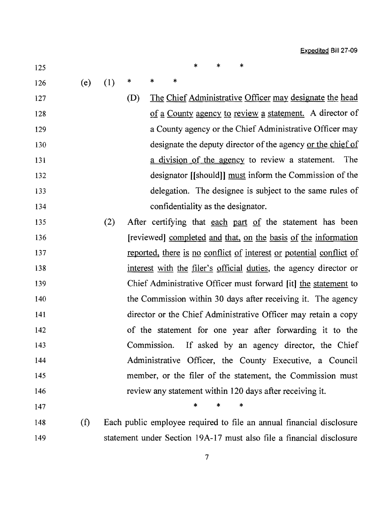- $125$  \* \* \*
- 
- 126 (e) (1) \* \* \*
- 127 (D) The Chief Administrative Officer may designate the head 128 of a County agency to review a statement. A director of 129 **a County agency or the Chief Administrative Officer may** 130 designate the deputy director ofthe agency or the chief of 131 **a** division of the agency to review a statement. The 132 designator [[should]] must inform the Commission of the 133 delegation. The designee is subject to the same rules of 134 confidentiality as the designator.
- 135 (2) After certifying that each part of the statement has been 136 [reviewed] completed and that, on the basis of the information 137 reported, there is no conflict of interest or potential conflict of 138 interest with the filer's official duties, the agency director or 139 Chief Administrative Officer must forward **[it]** the statement to 140 the Commission within 30 days after receiving it. The agency 141 director or the Chief Administrative Officer may retain a copy 142 of the statement for one year after forwarding it to the 143 Commission. If asked by an agency director, the Chief 144 Administrative Officer, the County Executive, a Council 145 member, or the filer of the statement, the Commission must 146 review any statement within 120 days after receiving it.

 $147$  \* \* \*

148 (t) Each public employee required to file an annual financial disclosure 149 statement under Section 19A-17 must also file a financial disclosure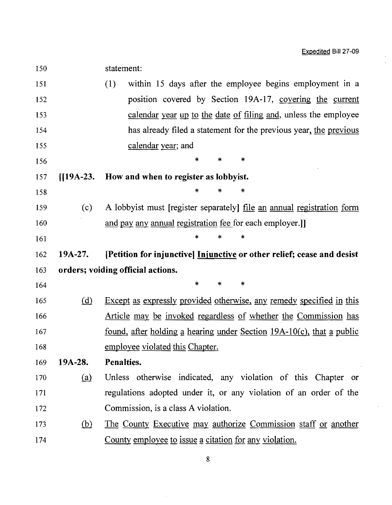$\overline{\phantom{a}}$  $\bar{ }$ 

| 150 |                    | statement:                                                                                |
|-----|--------------------|-------------------------------------------------------------------------------------------|
| 151 |                    | (1)<br>within 15 days after the employee begins employment in a                           |
| 152 |                    | position covered by Section 19A-17, covering the current                                  |
| 153 |                    | calendar year up to the date of filing and, unless the employee                           |
| 154 |                    | has already filed a statement for the previous year, the previous                         |
| 155 |                    | calendar year; and                                                                        |
| 156 |                    | $\ast$<br>*<br>*                                                                          |
| 157 | $\big[19A-23\big]$ | How and when to register as lobbyist.                                                     |
| 158 |                    | *<br>*<br>∗                                                                               |
| 159 | (c)                | A lobbyist must [register separately] <u>file an annual registration</u> form             |
| 160 |                    | and pay any annual registration fee for each employer.]]                                  |
| 161 |                    | *                                                                                         |
| 162 | 19A-27.            | [Petition for injunctive] Injunctive or other relief; cease and desist                    |
| 163 |                    | orders; voiding official actions.                                                         |
| 164 |                    | *<br>*<br>*                                                                               |
| 165 | (d)                | Except as expressly provided otherwise, any remedy specified in this                      |
| 166 |                    | <u>Article may be invoked regardless of whether the Commission has</u>                    |
| 167 |                    | <u>found, after holding a hearing under Section <math>19A-10(c)</math>, that a public</u> |
| 168 |                    | employee violated this Chapter.                                                           |
| 169 | $19A-28.$          | Penalties.                                                                                |
| 170 | (a)                | Unless otherwise indicated, any violation of this Chapter or                              |
| 171 |                    | regulations adopted under it, or any violation of an order of the                         |
| 172 |                    | Commission, is a class A violation.                                                       |
| 173 | <u>(b)</u>         | The County Executive may authorize Commission staff or another                            |
| 174 |                    | County employee to issue a citation for any violation.                                    |

8

 $\sim$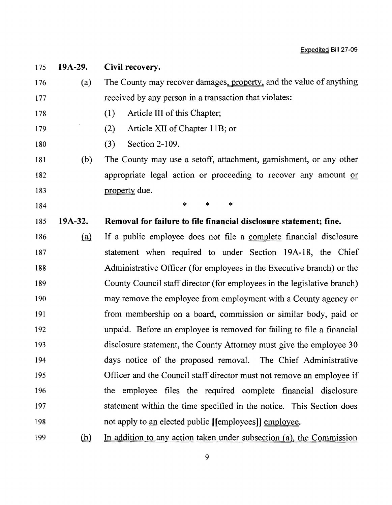175 **19A-29. Civil recovery.** 176 (a) The County may recover damages, property, and the value of anything 177 received by any person in a transaction that violates: 178 (1) Article III of this Chapter; 179 (2) Article XII of Chapter lIB; or 180 (3) Section 2-109. 181 (b) The County may use a setoff, attachment, garnishment, or any other 182 appropriate legal action or proceeding to recover any amount or 183 **property due.** 184  $\begin{array}{ccc} \ast & \ast & \ast \\ \end{array}$ 185 **19A-32. Removal for failure to file financial disclosure statement; fine.**  186 (a) If a public employee does not file a complete financial disclosure 187 statement when required to under Section 19A-18, the Chief 188 Administrative Officer (for employees in the Executive branch) or the 189 County Council staff director (for employees in the legislative branch) 190 may remove the employee from employment with a County agency or 191 from membership on a board, commission or similar body, paid or 192 unpaid. Before an employee is removed for failing to file a financial 193 disclosure statement, the County Attorney must give the employee 30 194 days notice of the proposed removal. The Chief Administrative 195 Officer and the Council staff director must not remove an employee if 196 the employee files the required complete financial disclosure 197 statement within the time specified in the notice. This Section does 198 not apply to an elected public [[employees]] employee. 199 (b) In addition to any action taken under subsection (a), the Commission